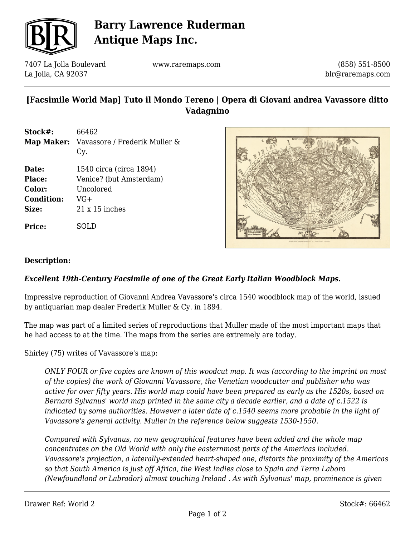

# **Barry Lawrence Ruderman Antique Maps Inc.**

7407 La Jolla Boulevard La Jolla, CA 92037

www.raremaps.com

(858) 551-8500 blr@raremaps.com

### **[Facsimile World Map] Tuto il Mondo Tereno | Opera di Giovani andrea Vavassore ditto Vadagnino**

| Stock#:           | 66462                                    |
|-------------------|------------------------------------------|
|                   | Map Maker: Vavassore / Frederik Muller & |
|                   | Cy.                                      |
| Date:             | 1540 circa (circa 1894)                  |
| Place:            | Venice? (but Amsterdam)                  |
| Color:            | Uncolored                                |
| <b>Condition:</b> | VG+                                      |
| Size:             | $21 \times 15$ inches                    |
|                   |                                          |

**Price:** SOLD



#### **Description:**

#### *Excellent 19th-Century Facsimile of one of the Great Early Italian Woodblock Maps.*

Impressive reproduction of Giovanni Andrea Vavassore's circa 1540 woodblock map of the world, issued by antiquarian map dealer Frederik Muller & Cy. in 1894.

The map was part of a limited series of reproductions that Muller made of the most important maps that he had access to at the time. The maps from the series are extremely are today.

Shirley (75) writes of Vavassore's map:

*ONLY FOUR or five copies are known of this woodcut map. It was (according to the imprint on most of the copies) the work of Giovanni Vavassore, the Venetian woodcutter and publisher who was active for over fifty years. His world map could have been prepared as early as the 1520s, based on Bernard Sylvanus' world map printed in the same city a decade earlier, and a date of c.1522 is indicated by some authorities. However a later date of c.1540 seems more probable in the light of Vavassore's general activity. Muller in the reference below suggests 1530-1550.*

*Compared with Sylvanus, no new geographical features have been added and the whole map concentrates on the Old World with only the easternmost parts of the Americas included. Vavassore's projection, a laterally-extended heart-shaped one, distorts the proximity of the Americas so that South America is just off Africa, the West Indies close to Spain and Terra Laboro (Newfoundland or Labrador) almost touching Ireland . As with Sylvanus' map, prominence is given*